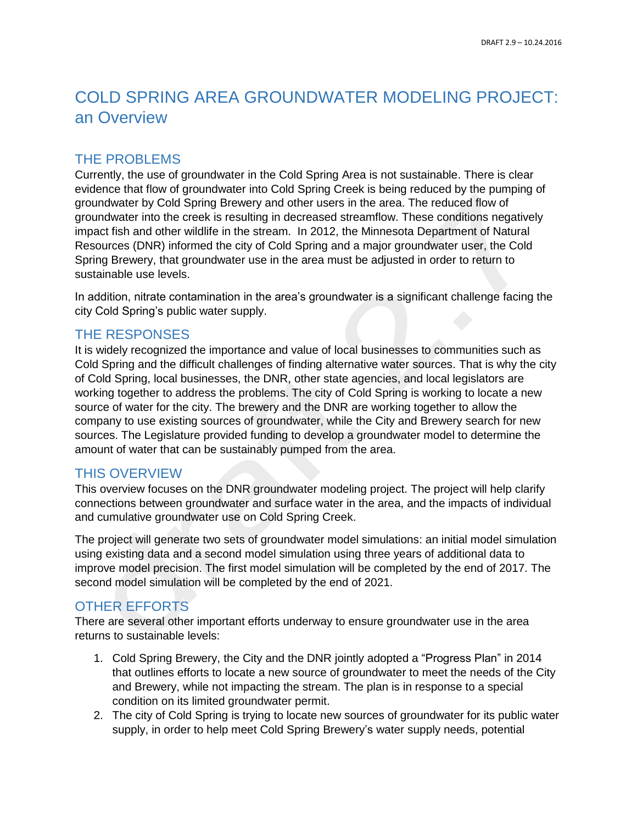# COLD SPRING AREA GROUNDWATER MODELING PROJECT: an Overview

## THE PROBLEMS

Currently, the use of groundwater in the Cold Spring Area is not sustainable. There is clear evidence that flow of groundwater into Cold Spring Creek is being reduced by the pumping of groundwater by Cold Spring Brewery and other users in the area. The reduced flow of groundwater into the creek is resulting in decreased streamflow. These conditions negatively impact fish and other wildlife in the stream. In 2012, the Minnesota Department of Natural Resources (DNR) informed the city of Cold Spring and a major groundwater user, the Cold Spring Brewery, that groundwater use in the area must be adjusted in order to return to sustainable use levels.

In addition, nitrate contamination in the area's groundwater is a significant challenge facing the city Cold Spring's public water supply.

# THE RESPONSES

It is widely recognized the importance and value of local businesses to communities such as Cold Spring and the difficult challenges of finding alternative water sources. That is why the city of Cold Spring, local businesses, the DNR, other state agencies, and local legislators are working together to address the problems. The city of Cold Spring is working to locate a new source of water for the city. The brewery and the DNR are working together to allow the company to use existing sources of groundwater, while the City and Brewery search for new sources. The Legislature provided funding to develop a groundwater model to determine the amount of water that can be sustainably pumped from the area.

# THIS OVERVIEW

This overview focuses on the DNR groundwater modeling project. The project will help clarify connections between groundwater and surface water in the area, and the impacts of individual and cumulative groundwater use on Cold Spring Creek.

The project will generate two sets of groundwater model simulations: an initial model simulation using existing data and a second model simulation using three years of additional data to improve model precision. The first model simulation will be completed by the end of 2017. The second model simulation will be completed by the end of 2021.

# OTHER EFFORTS

There are several other important efforts underway to ensure groundwater use in the area returns to sustainable levels:

- 1. Cold Spring Brewery, the City and the DNR jointly adopted a "Progress Plan" in 2014 that outlines efforts to locate a new source of groundwater to meet the needs of the City and Brewery, while not impacting the stream. The plan is in response to a special condition on its limited groundwater permit.
- 2. The city of Cold Spring is trying to locate new sources of groundwater for its public water supply, in order to help meet Cold Spring Brewery's water supply needs, potential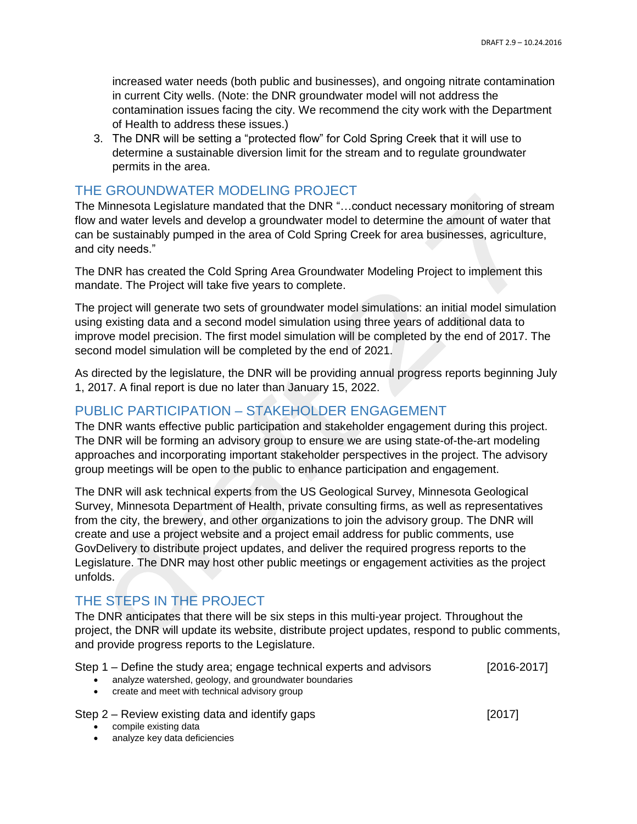increased water needs (both public and businesses), and ongoing nitrate contamination in current City wells. (Note: the DNR groundwater model will not address the contamination issues facing the city. We recommend the city work with the Department of Health to address these issues.)

3. The DNR will be setting a "protected flow" for Cold Spring Creek that it will use to determine a sustainable diversion limit for the stream and to regulate groundwater permits in the area.

#### THE GROUNDWATER MODELING PROJECT

The Minnesota Legislature mandated that the DNR "…conduct necessary monitoring of stream flow and water levels and develop a groundwater model to determine the amount of water that can be sustainably pumped in the area of Cold Spring Creek for area businesses, agriculture, and city needs."

The DNR has created the Cold Spring Area Groundwater Modeling Project to implement this mandate. The Project will take five years to complete.

The project will generate two sets of groundwater model simulations: an initial model simulation using existing data and a second model simulation using three years of additional data to improve model precision. The first model simulation will be completed by the end of 2017. The second model simulation will be completed by the end of 2021.

As directed by the legislature, the DNR will be providing annual progress reports beginning July 1, 2017. A final report is due no later than January 15, 2022.

#### PUBLIC PARTICIPATION – STAKEHOLDER ENGAGEMENT

The DNR wants effective public participation and stakeholder engagement during this project. The DNR will be forming an advisory group to ensure we are using state-of-the-art modeling approaches and incorporating important stakeholder perspectives in the project. The advisory group meetings will be open to the public to enhance participation and engagement.

The DNR will ask technical experts from the US Geological Survey, Minnesota Geological Survey, Minnesota Department of Health, private consulting firms, as well as representatives from the city, the brewery, and other organizations to join the advisory group. The DNR will create and use a project website and a project email address for public comments, use GovDelivery to distribute project updates, and deliver the required progress reports to the Legislature. The DNR may host other public meetings or engagement activities as the project unfolds.

## THE STEPS IN THE PROJECT

The DNR anticipates that there will be six steps in this multi-year project. Throughout the project, the DNR will update its website, distribute project updates, respond to public comments, and provide progress reports to the Legislature.

| Step 1 – Define the study area; engage technical experts and advisors | $[2016 - 2017]$ |
|-----------------------------------------------------------------------|-----------------|
|-----------------------------------------------------------------------|-----------------|

- analyze watershed, geology, and groundwater boundaries
- create and meet with technical advisory group

Step 2 – Review existing data and identify gaps [2017]

- **.** compile existing data
- analyze key data deficiencies